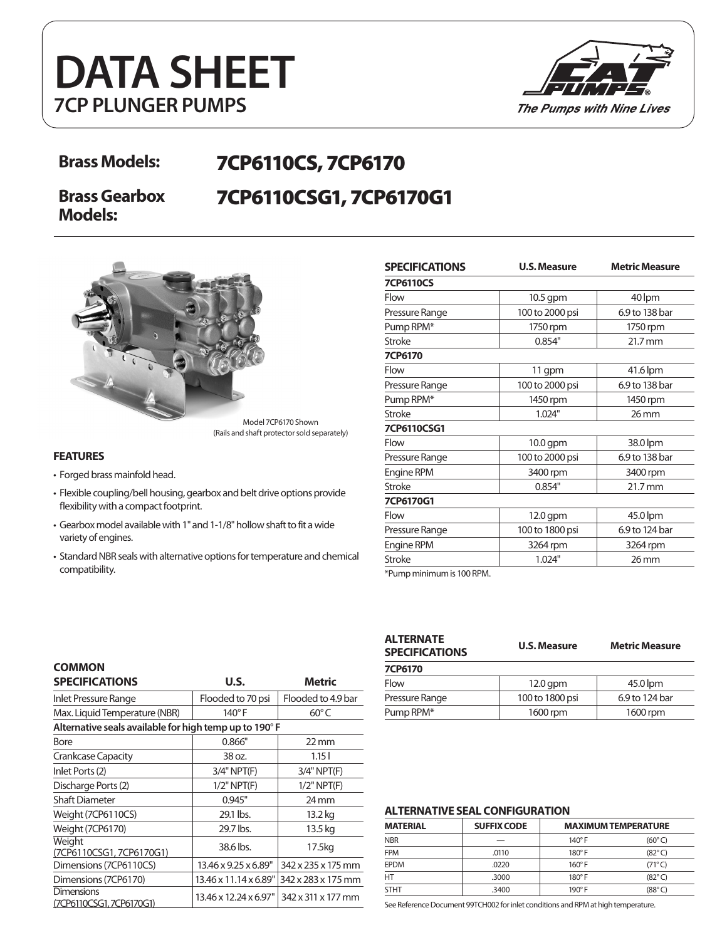# **DATA SHEET 7CP PLUNGER PUMPS**



## **Brass Models:** 7CP6110CS, 7CP6170 7CP6110CSG1, 7CP6170G1

**Brass Gearbox Models:**



**FEATURES**

**COMMON** 

- Forged brass mainfold head.
- Flexible coupling/bell housing, gearbox and belt drive options provide flexibility with a compact footprint.
- Gearbox model available with 1" and 1-1/8" hollow shaft to fit a wide variety of engines.
- Standard NBR seals with alternative options for temperature and chemical compatibility.

| <b>SPECIFICATIONS</b> | <b>U.S. Measure</b> | <b>Metric Measure</b> |  |
|-----------------------|---------------------|-----------------------|--|
| <b>7CP6110CS</b>      |                     |                       |  |
| Flow                  | $10.5$ gpm          | 40 lpm                |  |
| Pressure Range        | 100 to 2000 psi     | 6.9 to 138 bar        |  |
| Pump RPM*             | 1750 rpm            | 1750 rpm              |  |
| Stroke                | 0.854"              | 21.7 mm               |  |
| 7CP6170               |                     |                       |  |
| Flow                  | 11 gpm              | 41.6 lpm              |  |
| Pressure Range        | 100 to 2000 psi     | 6.9 to 138 bar        |  |
| Pump RPM*             | 1450 rpm            | 1450 rpm              |  |
| <b>Stroke</b>         | 1.024"              | $26$ mm               |  |
| 7CP6110CSG1           |                     |                       |  |
| Flow                  | $10.0$ gpm          | 38.0 lpm              |  |
| Pressure Range        | 100 to 2000 psi     | 6.9 to 138 bar        |  |
| <b>Engine RPM</b>     | 3400 rpm            | 3400 rpm              |  |
| Stroke                | 0.854"              | 21.7 mm               |  |
| 7CP6170G1             |                     |                       |  |
| Flow                  | 12.0 gpm            | 45.0 lpm              |  |
| Pressure Range        | 100 to 1800 psi     | 6.9 to 124 bar        |  |
| Engine RPM            | 3264 rpm            | 3264 rpm              |  |
| <b>Stroke</b>         | 1.024"              | $26$ mm               |  |

\*Pump minimum is 100 RPM.

| ALTERNATE<br><b>SPECIFICATIONS</b> | <b>U.S. Measure</b> | <b>Metric Measure</b> |
|------------------------------------|---------------------|-----------------------|
| 7CP6170                            |                     |                       |
| Flow                               | $12.0$ gpm          | 45.0 lpm              |
| Pressure Range                     | 100 to 1800 psi     | 6.9 to 124 bar        |
| Pump RPM*                          | 1600 rpm            | 1600 rpm              |
|                                    |                     |                       |

#### **SPECIFICATIONS U.S. Metric** Inlet Pressure Range Flooded to 70 psi Flooded to 4.9 bar Max. Liquid Temperature (NBR)  $\begin{array}{ccc} \vert & 140^{\circ} \, \mathrm{F} & \vert & 60^{\circ} \, \mathrm{C} \end{array}$ **Alternative seals available for high temp up to 190**° **F** Bore 0.866" 22 mm Crankcase Capacity 1.15 l 38 oz. 1.15 l Inlet Ports (2) 3/4" NPT(F) 3/4" NPT(F) Discharge Ports (2)  $1/2$ " NPT(F)  $1/2$ " NPT(F) Shaft Diameter 0.945" 24 mm Weight (7CP6110CS) 29.1 lbs. 13.2 kg Weight (7CP6170) 29.7 lbs. 13.5 kg **Weight** veight<br>(7CP6110CSG1, 7CP6170G1) 38.6 lbs. 17.5kg<br>Dimensions (7CP6110CS) 13.46 x 9.25 x 6.89" 342 x 235 x 175 mm Dimensions (7CP6110CS) Dimensions (7CP6170)  $\Big| 13.46 \times 11.14 \times 6.89'' \Big| 342 \times 283 \times 175 \text{ mm}$ **Dimensions** Dimerisions<br>(7CP6110CSG1, 7CP6170G1) 13.46 x 12.24 x 6.97" 342 x 311 x 177 mm

#### **ALTERNATIVE SEAL CONFIGURATION**

| <b>MATERIAL</b> | <b>SUFFIX CODE</b> | <b>MAXIMUM TEMPERATURE</b> |                 |
|-----------------|--------------------|----------------------------|-----------------|
| <b>NBR</b>      |                    | $140^\circ$ F              | $(60^{\circ}C)$ |
| <b>FPM</b>      | .0110              | $180^\circ$ F              | $(82^{\circ}C)$ |
| <b>EPDM</b>     | .0220              | $160^\circ$ F              | $(71^{\circ}C)$ |
| HT              | .3000              | $180^\circ$ F              | $(82^{\circ}C)$ |
| <b>STHT</b>     | .3400              | $190^\circ$ F              | (88°C)          |

See Reference Document 99TCH002 for inlet conditions and RPM at high temperature.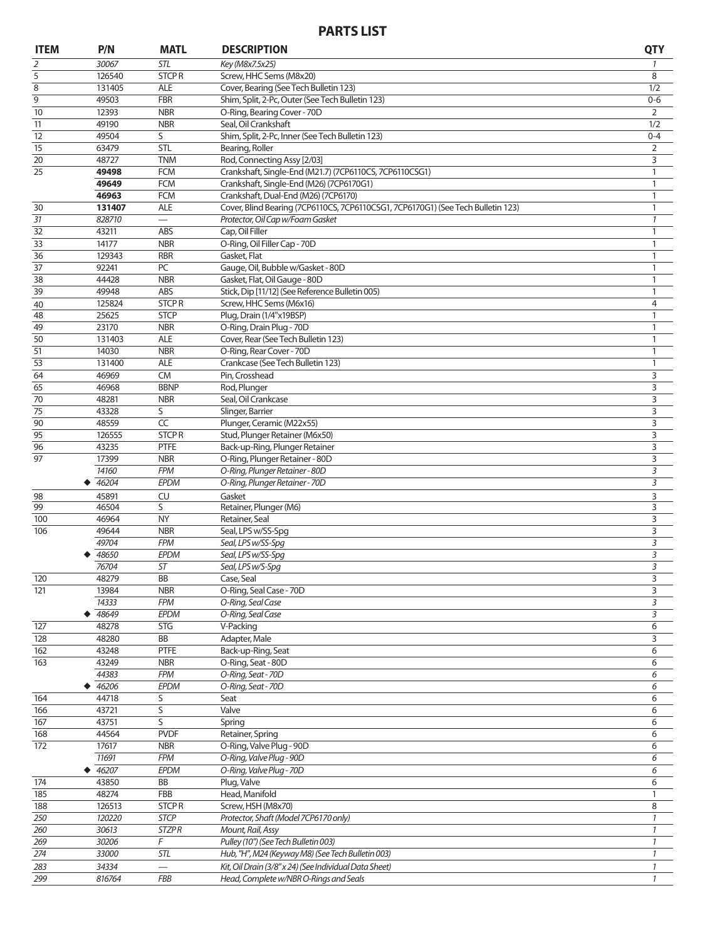### **PARTS LIST**

| <b>ITEM</b>     | P/N              | <b>MATL</b>                 | <b>DESCRIPTION</b>                                                               | <b>QTY</b>         |
|-----------------|------------------|-----------------------------|----------------------------------------------------------------------------------|--------------------|
| 2               | 30067            | STL                         | Key (M8x7.5x25)                                                                  | 1                  |
| 5               | 126540           | <b>STCPR</b>                | Screw, HHC Sems (M8x20)                                                          | 8                  |
| 8               | 131405           | <b>ALE</b>                  | Cover, Bearing (See Tech Bulletin 123)                                           | 1/2                |
| 9               | 49503            | <b>FBR</b>                  | Shim, Split, 2-Pc, Outer (See Tech Bulletin 123)                                 | $0 - 6$            |
| $\overline{10}$ | 12393<br>49190   | <b>NBR</b><br><b>NBR</b>    | O-Ring, Bearing Cover - 70D<br>Seal, Oil Crankshaft                              | 2                  |
| 11<br>12        | 49504            | S                           | Shim, Split, 2-Pc, Inner (See Tech Bulletin 123)                                 | 1/2<br>$0 - 4$     |
| 15              | 63479            | <b>STL</b>                  | Bearing, Roller                                                                  | $\overline{2}$     |
| 20              | 48727            | <b>TNM</b>                  | Rod, Connecting Assy [2/03]                                                      | 3                  |
| 25              | 49498            | <b>FCM</b>                  | Crankshaft, Single-End (M21.7) (7CP6110CS, 7CP6110CSG1)                          | 1                  |
|                 | 49649            | <b>FCM</b>                  | Crankshaft, Single-End (M26) (7CP6170G1)                                         | 1                  |
|                 | 46963            | <b>FCM</b>                  | Crankshaft, Dual-End (M26) (7CP6170)                                             | 1                  |
| 30              | 131407           | <b>ALE</b>                  | Cover, Blind Bearing (7CP6110CS, 7CP6110CSG1, 7CP6170G1) (See Tech Bulletin 123) | 1                  |
| 31<br>32        | 828710           | ABS                         | Protector, Oil Cap w/Foam Gasket                                                 | $\mathcal{I}$      |
| 33              | 43211<br>14177   | <b>NBR</b>                  | Cap, Oil Filler<br>O-Ring, Oil Filler Cap - 70D                                  | $\mathbf{1}$<br>1  |
| 36              | 129343           | <b>RBR</b>                  | Gasket, Flat                                                                     | 1                  |
| 37              | 92241            | PC                          | Gauge, Oil, Bubble w/Gasket - 80D                                                | 1                  |
| 38              | 44428            | <b>NBR</b>                  | Gasket, Flat, Oil Gauge - 80D                                                    | $\mathbf{1}$       |
| 39              | 49948            | ABS                         | Stick, Dip [11/12] (See Reference Bulletin 005)                                  | 1                  |
| 40              | 125824           | <b>STCPR</b>                | Screw, HHC Sems (M6x16)                                                          | 4                  |
| 48              | 25625            | <b>STCP</b>                 | Plug, Drain (1/4"x19BSP)                                                         | 1                  |
| 49              | 23170            | <b>NBR</b>                  | O-Ring, Drain Plug - 70D                                                         | 1                  |
| 50<br>51        | 131403<br>14030  | <b>ALE</b><br><b>NBR</b>    | Cover, Rear (See Tech Bulletin 123)<br>O-Ring, Rear Cover - 70D                  | 1<br>1             |
| 53              | 131400           | <b>ALE</b>                  | Crankcase (See Tech Bulletin 123)                                                | 1                  |
| 64              | 46969            | <b>CM</b>                   | Pin, Crosshead                                                                   | 3                  |
| 65              | 46968            | <b>BBNP</b>                 | Rod, Plunger                                                                     | 3                  |
| 70              | 48281            | <b>NBR</b>                  | Seal, Oil Crankcase                                                              | 3                  |
| 75              | 43328            | S                           | Slinger, Barrier                                                                 | 3                  |
| 90              | 48559            | $\overline{CC}$             | Plunger, Ceramic (M22x55)                                                        | 3                  |
| 95              | 126555           | <b>STCPR</b>                | Stud, Plunger Retainer (M6x50)                                                   | 3                  |
| 96              | 43235            | <b>PTFE</b>                 | Back-up-Ring, Plunger Retainer                                                   | 3                  |
| 97              | 17399<br>14160   | <b>NBR</b><br><b>FPM</b>    | O-Ring, Plunger Retainer - 80D<br>O-Ring, Plunger Retainer - 80D                 | 3<br>3             |
|                 | 46204            | EPDM                        | O-Ring, Plunger Retainer - 70D                                                   | 3                  |
| 98              | 45891            | CU                          | Gasket                                                                           | 3                  |
| 99              | 46504            | S                           | Retainer, Plunger (M6)                                                           | 3                  |
| 100             | 46964            | <b>NY</b>                   | Retainer, Seal                                                                   | 3                  |
| 106             | 49644            | <b>NBR</b>                  | Seal, LPS w/SS-Spg                                                               | 3                  |
|                 | 49704            | <b>FPM</b>                  | Seal, LPS w/SS-Spq                                                               | 3                  |
|                 | 48650            | <b>EPDM</b>                 | Seal, LPS w/SS-Spq                                                               | 3                  |
|                 | 76704<br>48279   | ST<br>BB                    | Seal, LPS w/S-Spq                                                                | 3                  |
| 120<br>121      | 13984            | <b>NBR</b>                  | Case, Seal<br>O-Ring, Seal Case - 70D                                            | 3<br>3             |
|                 | 14333            | <b>FPM</b>                  | O-Ring, Seal Case                                                                | 3                  |
|                 | 48649            | EPDM                        | O-Ring, Seal Case                                                                | 3                  |
| 127             | 48278            | <b>STG</b>                  | V-Packing                                                                        | 6                  |
| 128             | 48280            | BB                          | Adapter, Male                                                                    | 3                  |
| 162             | 43248            | PTFE                        | Back-up-Ring, Seat                                                               | 6                  |
| 163             | 43249            | <b>NBR</b>                  | O-Ring, Seat - 80D                                                               | 6                  |
|                 | 44383            | <b>FPM</b><br>EPDM          | O-Ring, Seat - 70D                                                               | 6                  |
| 164             | 46206<br>44718   | S                           | O-Ring, Seat - 70D<br>Seat                                                       | 6<br>6             |
| 166             | 43721            | $\overline{s}$              | Valve                                                                            | 6                  |
| 167             | 43751            | S                           | Spring                                                                           | 6                  |
| 168             | 44564            | <b>PVDF</b>                 | Retainer, Spring                                                                 | 6                  |
| 172             | 17617            | <b>NBR</b>                  | O-Ring, Valve Plug - 90D                                                         | 6                  |
|                 | 11691            | <b>FPM</b>                  | O-Ring, Valve Plug - 90D                                                         | 6                  |
|                 | 46207            | EPDM                        | O-Ring, Valve Plug - 70D                                                         | 6                  |
| 174             | 43850            | BB                          | Plug, Valve                                                                      | 6                  |
| 185             | 48274            | FBB                         | Head, Manifold                                                                   | 1                  |
| 188<br>250      | 126513<br>120220 | <b>STCPR</b><br><b>STCP</b> | Screw, HSH (M8x70)<br>Protector, Shaft (Model 7CP6170 only)                      | 8<br>$\mathcal{I}$ |
| 260             | 30613            | <b>STZPR</b>                | Mount, Rail, Assy                                                                | $\mathcal{I}$      |
| 269             | 30206            | F                           | Pulley (10") (See Tech Bulletin 003)                                             | 1                  |
| 274             | 33000            | STL                         | Hub, "H", M24 (Keyway M8) (See Tech Bulletin 003)                                | $\mathcal{I}$      |
| 283             | 34334            |                             | Kit, Oil Drain (3/8" x 24) (See Individual Data Sheet)                           | $\mathcal{I}$      |
| 299             | 816764           | FBB                         | Head, Complete w/NBR O-Rings and Seals                                           | $\mathcal{I}$      |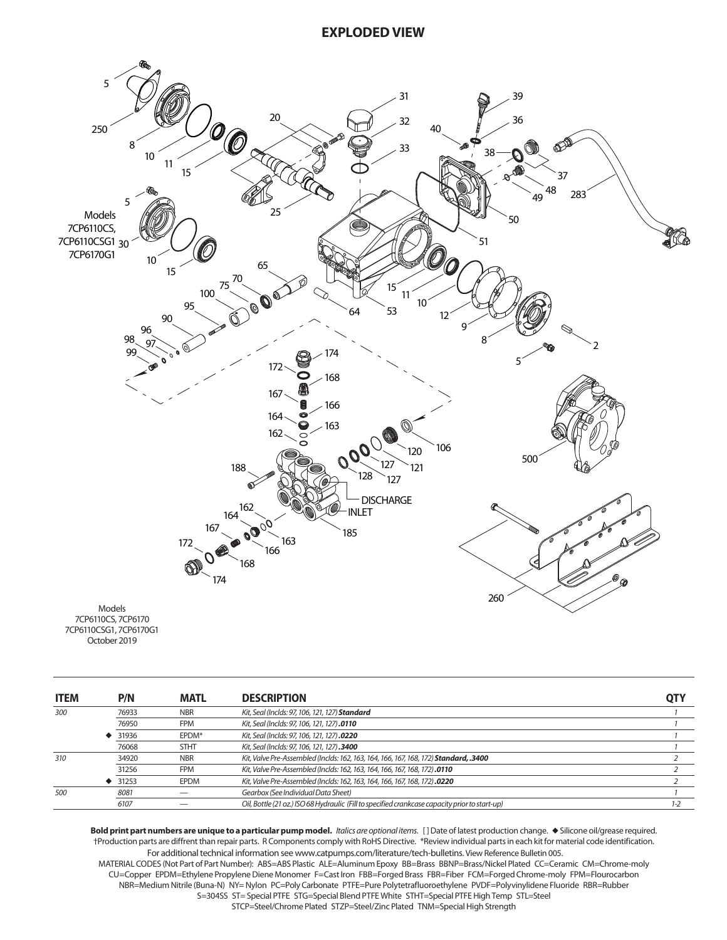

| <b>ITEM</b> | P/N   | <b>MATL</b> | <b>DESCRIPTION</b>                                                                             | <b>QTY</b> |
|-------------|-------|-------------|------------------------------------------------------------------------------------------------|------------|
| 300         | 76933 | <b>NBR</b>  | Kit, Seal (Inclds: 97, 106, 121, 127) Standard                                                 |            |
|             | 76950 | <b>FPM</b>  | Kit, Seal (Inclds: 97, 106, 121, 127).0110                                                     |            |
|             | 31936 | EPDM*       | Kit, Seal (Inclds: 97, 106, 121, 127).0220                                                     |            |
|             | 76068 | <b>STHT</b> | Kit, Seal (Inclds: 97, 106, 121, 127).3400                                                     |            |
| 310         | 34920 | <b>NBR</b>  | Kit, Valve Pre-Assembled (Inclds: 162, 163, 164, 166, 167, 168, 172) Standard, .3400           |            |
|             | 31256 | <b>FPM</b>  | Kit, Valve Pre-Assembled (Inclds: 162, 163, 164, 166, 167, 168, 172).0110                      |            |
|             | 31253 | <b>EPDM</b> | Kit, Valve Pre-Assembled (Inclds: 162, 163, 164, 166, 167, 168, 172).0220                      |            |
| 500         | 8081  |             | Gearbox (See Individual Data Sheet)                                                            |            |
|             | 6107  |             | Oil, Bottle (21 oz.) ISO 68 Hydraulic (Fill to specified crankcase capacity prior to start-up) | $1 - 2$    |

Bold print part numbers are unique to a particular pump model. *Italics are optional items*. [] Date of latest production change.  $\bullet$  Silicone oil/grease required. †Production parts are diffrent than repair parts. R Components comply with RoHS Directive. \*Review individual parts in each kit for material code identification. For additional technical information see www.catpumps.com/literature/tech-bulletins. View Reference Bulletin 005.

MATERIAL CODES (Not Part of Part Number): ABS=ABS Plastic ALE=Aluminum Epoxy BB=Brass BBNP=Brass/Nickel Plated CC=Ceramic CM=Chrome-moly CU=Copper EPDM=Ethylene Propylene Diene Monomer F=Cast Iron FBB=Forged Brass FBR=Fiber FCM=Forged Chrome-moly FPM=Flourocarbon NBR=Medium Nitrile (Buna-N) NY= Nylon PC=Poly Carbonate PTFE=Pure Polytetrafluoroethylene PVDF=Polyvinylidene Fluoride RBR=Rubber S=304SS ST= Special PTFE STG=Special Blend PTFE White STHT=Special PTFE High Temp STL=Steel

STCP=Steel/Chrome Plated STZP=Steel/Zinc Plated TNM=Special High Strength